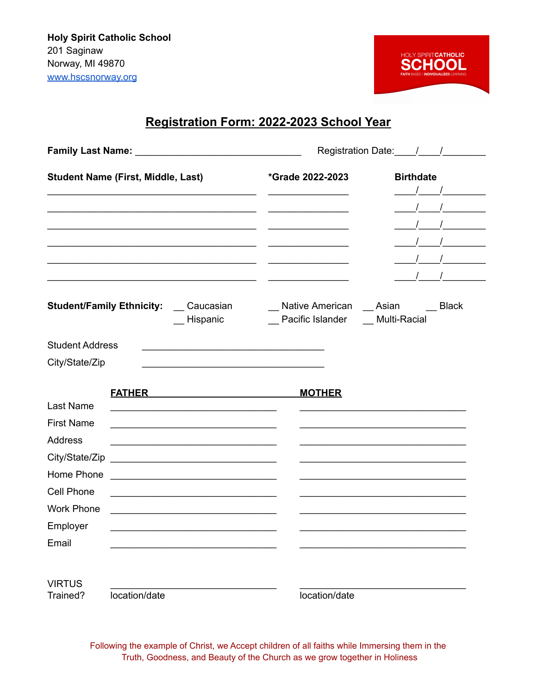

## **Registration Form: 2022-2023 School Year**

|                                                                                                                                          | <b>Student Name (First, Middle, Last)</b>                                                                                                                                                                                                                                                                                                                                                                                                                                                                                                                                                                                                                                                                                                                 | *Grade 2022-2023                                                 | <b>Birthdate</b><br>$\frac{1}{2}$ $\frac{1}{2}$ $\frac{1}{2}$ $\frac{1}{2}$ $\frac{1}{2}$ $\frac{1}{2}$ $\frac{1}{2}$ $\frac{1}{2}$ $\frac{1}{2}$ $\frac{1}{2}$ $\frac{1}{2}$ $\frac{1}{2}$ $\frac{1}{2}$ $\frac{1}{2}$ $\frac{1}{2}$ $\frac{1}{2}$ $\frac{1}{2}$ $\frac{1}{2}$ $\frac{1}{2}$ $\frac{1}{2}$ $\frac{1}{2}$ $\frac{1}{2}$<br>$\frac{1}{2}$ $\frac{1}{2}$ |  |  |
|------------------------------------------------------------------------------------------------------------------------------------------|-----------------------------------------------------------------------------------------------------------------------------------------------------------------------------------------------------------------------------------------------------------------------------------------------------------------------------------------------------------------------------------------------------------------------------------------------------------------------------------------------------------------------------------------------------------------------------------------------------------------------------------------------------------------------------------------------------------------------------------------------------------|------------------------------------------------------------------|------------------------------------------------------------------------------------------------------------------------------------------------------------------------------------------------------------------------------------------------------------------------------------------------------------------------------------------------------------------------|--|--|
|                                                                                                                                          | <b>Student/Family Ethnicity:</b> Caucasian<br>_ Hispanic                                                                                                                                                                                                                                                                                                                                                                                                                                                                                                                                                                                                                                                                                                  | Native American Asian Black<br>_ Pacific Islander _ Multi-Racial |                                                                                                                                                                                                                                                                                                                                                                        |  |  |
| <b>Student Address</b><br>City/State/Zip                                                                                                 |                                                                                                                                                                                                                                                                                                                                                                                                                                                                                                                                                                                                                                                                                                                                                           |                                                                  |                                                                                                                                                                                                                                                                                                                                                                        |  |  |
| Last Name<br><b>First Name</b><br>Address<br>City/State/Zip<br>Home Phone<br><b>Cell Phone</b><br><b>Work Phone</b><br>Employer<br>Email | FATHER <b>EXAMPLE AND RESIDENCE</b><br>the control of the control of the control of the control of the control of the control of<br><u> 1989 - Johann Barbara, martin amerikan basal dan berasal dalam basal dalam basal dalam basal dalam basal dala</u><br><u> 2000 - Jan James James James James James James James James James James James James James James James James Ja</u><br><u> 1989 - Johann John Stone, market fan it fjort fan it fjort fan it fjort fan it fjort fan it fjort fan it fjort fan it fjort fan it fjort fan it fjort fan it fjort fan it fjort fan it fjort fan it fjort fan it fjort fan i</u><br><u> 1989 - Johann John Stein, marwolaethau (b. 1989)</u><br><u> 1980 - Johann John Stone, martin de Brasilia (h. 1980).</u> | <b>MOTHER</b>                                                    |                                                                                                                                                                                                                                                                                                                                                                        |  |  |
| <b>VIRTUS</b><br>Trained?                                                                                                                | location/date                                                                                                                                                                                                                                                                                                                                                                                                                                                                                                                                                                                                                                                                                                                                             | location/date                                                    |                                                                                                                                                                                                                                                                                                                                                                        |  |  |

Following the example of Christ, we Accept children of all faiths while Immersing them in the Truth, Goodness, and Beauty of the Church as we grow together in Holiness